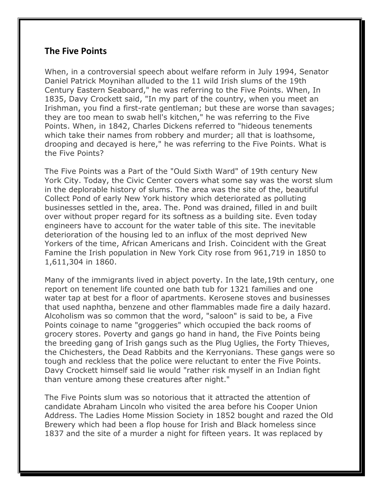## **The Five Points**

When, in a controversial speech about welfare reform in July 1994, Senator Daniel Patrick Moynihan alluded to the 11 wild Irish slums of the 19th Century Eastern Seaboard," he was referring to the Five Points. When, In 1835, Davy Crockett said, "In my part of the country, when you meet an Irishman, you find a first-rate gentleman; but these are worse than savages; they are too mean to swab hell's kitchen," he was referring to the Five Points. When, in 1842, Charles Dickens referred to "hideous tenements which take their names from robbery and murder; all that is loathsome, drooping and decayed is here," he was referring to the Five Points. What is the Five Points?

The Five Points was a Part of the "Ould Sixth Ward" of 19th century New York City. Today, the Civic Center covers what some say was the worst slum in the deplorable history of slums. The area was the site of the, beautiful Collect Pond of early New York history which deteriorated as polluting businesses settled in the, area. The. Pond was drained, filled in and built over without proper regard for its softness as a building site. Even today engineers have to account for the water table of this site. The inevitable deterioration of the housing led to an influx of the most deprived New Yorkers of the time, African Americans and Irish. Coincident with the Great Famine the Irish population in New York City rose from 961,719 in 1850 to 1,611,304 in 1860.

Many of the immigrants lived in abject poverty. In the late,19th century, one report on tenement life counted one bath tub for 1321 families and one water tap at best for a floor of apartments. Kerosene stoves and businesses that used naphtha, benzene and other flammables made fire a daily hazard. Alcoholism was so common that the word, "saloon" is said to be, a Five Points coinage to name "groggeries" which occupied the back rooms of grocery stores. Poverty and gangs go hand in hand, the Five Points being the breeding gang of Irish gangs such as the Plug Uglies, the Forty Thieves, the Chichesters, the Dead Rabbits and the Kerryonians. These gangs were so tough and reckless that the police were reluctant to enter the Five Points. Davy Crockett himself said lie would "rather risk myself in an Indian fight than venture among these creatures after night."

The Five Points slum was so notorious that it attracted the attention of candidate Abraham Lincoln who visited the area before his Cooper Union Address. The Ladies Home Mission Society in 1852 bought and razed the Old Brewery which had been a flop house for Irish and Black homeless since 1837 and the site of a murder a night for fifteen years. It was replaced by